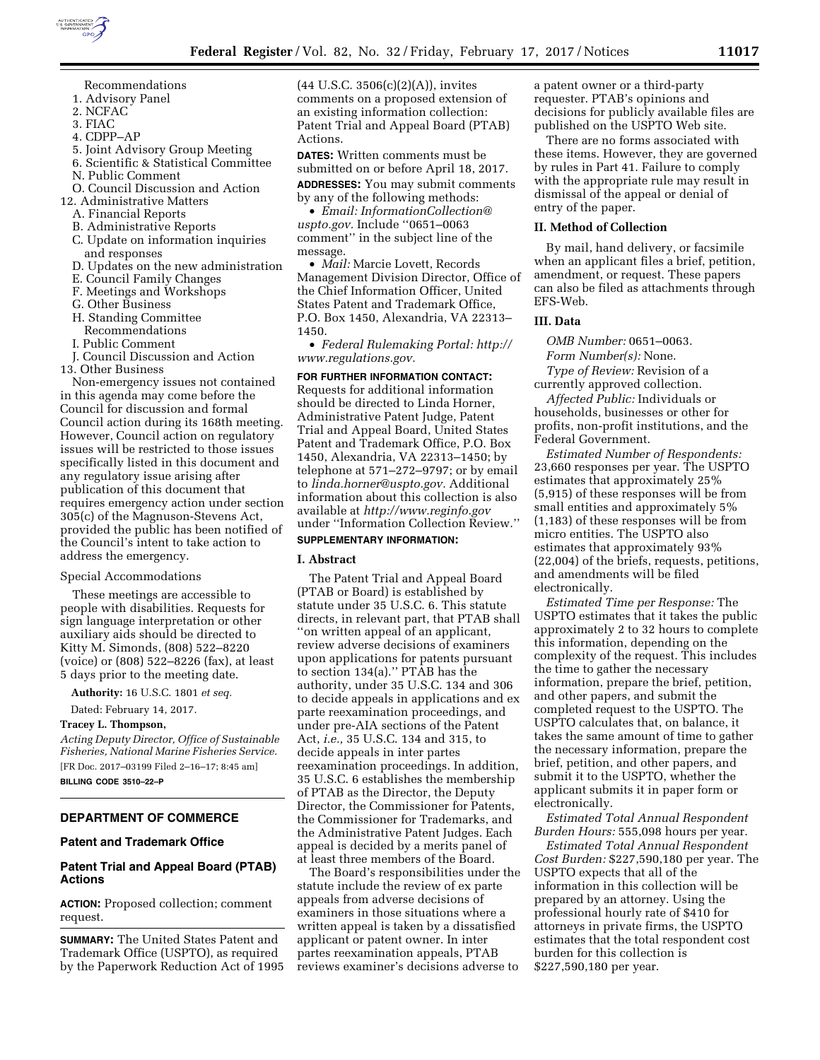

- 1. Advisory Panel
- 2. NCFAC
- 3. FIAC
- 4. CDPP–AP
- 5. Joint Advisory Group Meeting
- 6. Scientific & Statistical Committee
- N. Public Comment
- O. Council Discussion and Action
- 12. Administrative Matters
- A. Financial Reports
- B. Administrative Reports
- C. Update on information inquiries and responses
- D. Updates on the new administration
- E. Council Family Changes
- F. Meetings and Workshops
- G. Other Business
- H. Standing Committee
- Recommendations
- I. Public Comment

J. Council Discussion and Action 13. Other Business

Non-emergency issues not contained in this agenda may come before the Council for discussion and formal Council action during its 168th meeting. However, Council action on regulatory issues will be restricted to those issues specifically listed in this document and any regulatory issue arising after publication of this document that requires emergency action under section 305(c) of the Magnuson-Stevens Act, provided the public has been notified of the Council's intent to take action to address the emergency.

## Special Accommodations

These meetings are accessible to people with disabilities. Requests for sign language interpretation or other auxiliary aids should be directed to Kitty M. Simonds, (808) 522–8220 (voice) or (808) 522–8226 (fax), at least 5 days prior to the meeting date.

**Authority:** 16 U.S.C. 1801 *et seq.* 

Dated: February 14, 2017.

## **Tracey L. Thompson,**

*Acting Deputy Director, Office of Sustainable Fisheries, National Marine Fisheries Service.*  [FR Doc. 2017–03199 Filed 2–16–17; 8:45 am] **BILLING CODE 3510–22–P** 

# **DEPARTMENT OF COMMERCE**

## **Patent and Trademark Office**

# **Patent Trial and Appeal Board (PTAB) Actions**

**ACTION:** Proposed collection; comment request.

**SUMMARY:** The United States Patent and Trademark Office (USPTO), as required by the Paperwork Reduction Act of 1995 (44 U.S.C. 3506(c)(2)(A)), invites comments on a proposed extension of an existing information collection: Patent Trial and Appeal Board (PTAB) Actions.

**DATES:** Written comments must be submitted on or before April 18, 2017.

**ADDRESSES:** You may submit comments by any of the following methods:

• *Email: [InformationCollection@](mailto:InformationCollection@uspto.gov) [uspto.gov.](mailto:InformationCollection@uspto.gov)* Include ''0651–0063 comment'' in the subject line of the message.

• *Mail:* Marcie Lovett, Records Management Division Director, Office of the Chief Information Officer, United States Patent and Trademark Office, P.O. Box 1450, Alexandria, VA 22313– 1450.

• *Federal Rulemaking Portal: [http://](http://www.regulations.gov) [www.regulations.gov.](http://www.regulations.gov)* 

## **FOR FURTHER INFORMATION CONTACT:**

Requests for additional information should be directed to Linda Horner, Administrative Patent Judge, Patent Trial and Appeal Board, United States Patent and Trademark Office, P.O. Box 1450, Alexandria, VA 22313–1450; by telephone at 571–272–9797; or by email to *[linda.horner@uspto.gov.](mailto:linda.horner@uspto.gov)* Additional information about this collection is also available at *<http://www.reginfo.gov>*  under ''Information Collection Review.''

# **SUPPLEMENTARY INFORMATION:**

#### **I. Abstract**

The Patent Trial and Appeal Board (PTAB or Board) is established by statute under 35 U.S.C. 6. This statute directs, in relevant part, that PTAB shall ''on written appeal of an applicant, review adverse decisions of examiners upon applications for patents pursuant to section 134(a).'' PTAB has the authority, under 35 U.S.C. 134 and 306 to decide appeals in applications and ex parte reexamination proceedings, and under pre-AIA sections of the Patent Act, *i.e.,* 35 U.S.C. 134 and 315, to decide appeals in inter partes reexamination proceedings. In addition, 35 U.S.C. 6 establishes the membership of PTAB as the Director, the Deputy Director, the Commissioner for Patents, the Commissioner for Trademarks, and the Administrative Patent Judges. Each appeal is decided by a merits panel of at least three members of the Board.

The Board's responsibilities under the statute include the review of ex parte appeals from adverse decisions of examiners in those situations where a written appeal is taken by a dissatisfied applicant or patent owner. In inter partes reexamination appeals, PTAB reviews examiner's decisions adverse to

a patent owner or a third-party requester. PTAB's opinions and decisions for publicly available files are published on the USPTO Web site.

There are no forms associated with these items. However, they are governed by rules in Part 41. Failure to comply with the appropriate rule may result in dismissal of the appeal or denial of entry of the paper.

#### **II. Method of Collection**

By mail, hand delivery, or facsimile when an applicant files a brief, petition, amendment, or request. These papers can also be filed as attachments through EFS-Web.

#### **III. Data**

*OMB Number:* 0651–0063. *Form Number(s):* None. *Type of Review:* Revision of a currently approved collection.

*Affected Public:* Individuals or households, businesses or other for profits, non-profit institutions, and the Federal Government.

*Estimated Number of Respondents:*  23,660 responses per year. The USPTO estimates that approximately 25% (5,915) of these responses will be from small entities and approximately 5% (1,183) of these responses will be from micro entities. The USPTO also estimates that approximately 93% (22,004) of the briefs, requests, petitions, and amendments will be filed electronically.

*Estimated Time per Response:* The USPTO estimates that it takes the public approximately 2 to 32 hours to complete this information, depending on the complexity of the request. This includes the time to gather the necessary information, prepare the brief, petition, and other papers, and submit the completed request to the USPTO. The USPTO calculates that, on balance, it takes the same amount of time to gather the necessary information, prepare the brief, petition, and other papers, and submit it to the USPTO, whether the applicant submits it in paper form or electronically.

*Estimated Total Annual Respondent Burden Hours:* 555,098 hours per year.

*Estimated Total Annual Respondent Cost Burden:* \$227,590,180 per year. The USPTO expects that all of the information in this collection will be prepared by an attorney. Using the professional hourly rate of \$410 for attorneys in private firms, the USPTO estimates that the total respondent cost burden for this collection is \$227,590,180 per year.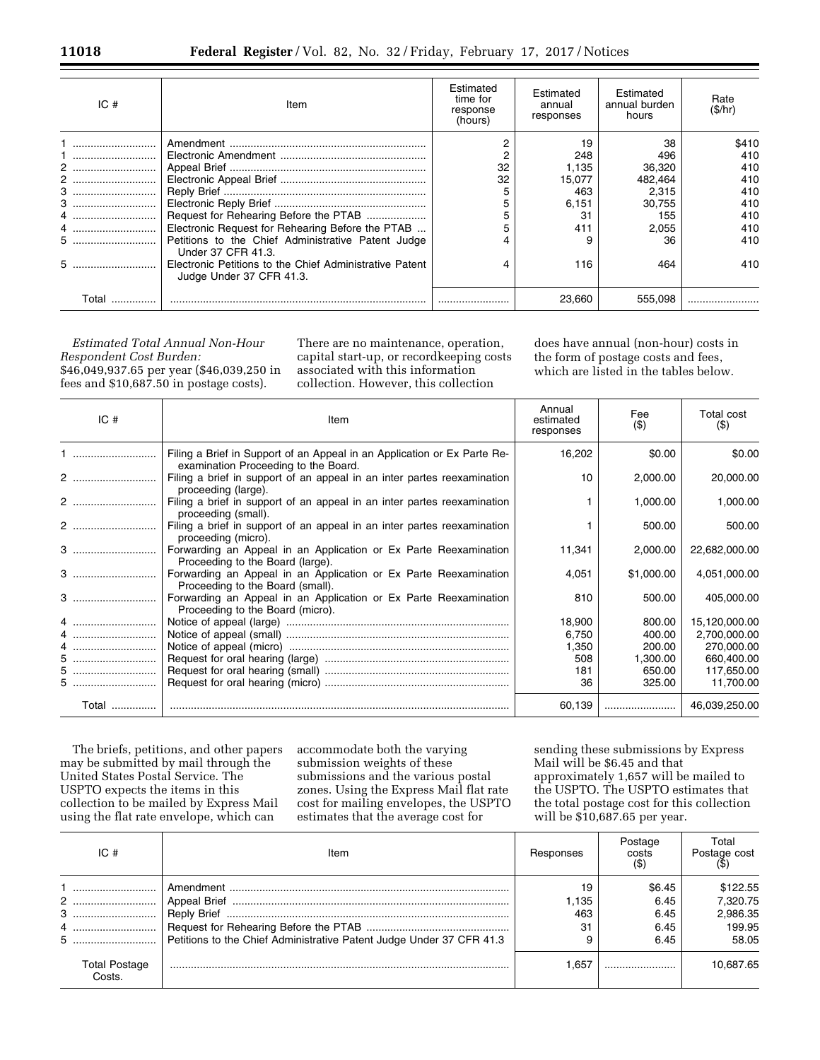| IC#  | Item                                                                                | Estimated<br>time for<br>response<br>(hours) | Estimated<br>annual<br>responses | Estimated<br>annual burden<br>hours | Rate<br>(S/hr) |
|------|-------------------------------------------------------------------------------------|----------------------------------------------|----------------------------------|-------------------------------------|----------------|
|      |                                                                                     |                                              | 19                               | 38                                  | \$410          |
|      |                                                                                     |                                              | 248                              | 496                                 | 410            |
| 2    |                                                                                     | 32                                           | 1.135                            | 36,320                              | 410            |
| 2    |                                                                                     | 32                                           | 15.077                           | 482.464                             | 410            |
|      |                                                                                     |                                              | 463                              | 2,315                               | 410            |
| 3    |                                                                                     |                                              | 6.151                            | 30.755                              | 410            |
| 4    |                                                                                     |                                              | 31                               | 155                                 | 410            |
|      | Electronic Request for Rehearing Before the PTAB                                    |                                              | 411                              | 2.055                               | 410            |
| 5    | Petitions to the Chief Administrative Patent Judge<br>Under 37 CFR 41.3.            |                                              |                                  | 36                                  | 410            |
|      | Electronic Petitions to the Chief Administrative Patent<br>Judge Under 37 CFR 41.3. |                                              | 116                              | 464                                 | 410            |
| Tota |                                                                                     |                                              | 23.660                           | 555.098                             |                |

*Estimated Total Annual Non-Hour Respondent Cost Burden:*  \$46,049,937.65 per year (\$46,039,250 in fees and \$10,687.50 in postage costs).

There are no maintenance, operation, capital start-up, or recordkeeping costs associated with this information collection. However, this collection

does have annual (non-hour) costs in the form of postage costs and fees, which are listed in the tables below.

| IC#   | Item                                                                                                             | Annual<br>estimated<br>responses | Fee<br>$($ \$ | Total cost<br>(S) |
|-------|------------------------------------------------------------------------------------------------------------------|----------------------------------|---------------|-------------------|
|       | Filing a Brief in Support of an Appeal in an Application or Ex Parte Re-<br>examination Proceeding to the Board. | 16,202                           | \$0.00        | \$0.00            |
| 2     | Filing a brief in support of an appeal in an inter partes reexamination<br>proceeding (large).                   | 10                               | 2,000.00      | 20,000.00         |
| 2     | Filing a brief in support of an appeal in an inter partes reexamination<br>proceeding (small).                   |                                  | 1,000.00      | 1,000.00          |
| 2     | Filing a brief in support of an appeal in an inter partes reexamination<br>proceeding (micro).                   |                                  | 500.00        | 500.00            |
|       | Forwarding an Appeal in an Application or Ex Parte Reexamination<br>Proceeding to the Board (large).             | 11,341                           | 2,000.00      | 22,682,000.00     |
|       | Forwarding an Appeal in an Application or Ex Parte Reexamination<br>Proceeding to the Board (small).             | 4,051                            | \$1,000.00    | 4,051,000.00      |
|       | Forwarding an Appeal in an Application or Ex Parte Reexamination<br>Proceeding to the Board (micro).             | 810                              | 500.00        | 405,000.00        |
| 4     |                                                                                                                  | 18,900                           | 800.00        | 15,120,000.00     |
| 4     |                                                                                                                  | 6,750                            | 400.00        | 2,700,000.00      |
| 4     |                                                                                                                  | 1,350                            | 200.00        | 270,000.00        |
| 5     |                                                                                                                  | 508                              | 1,300.00      | 660,400.00        |
| 5     |                                                                                                                  | 181                              | 650.00        | 117,650.00        |
| 5     |                                                                                                                  | 36                               | 325.00        | 11,700.00         |
| Total |                                                                                                                  | 60,139                           |               | 46,039,250.00     |

The briefs, petitions, and other papers may be submitted by mail through the United States Postal Service. The USPTO expects the items in this collection to be mailed by Express Mail using the flat rate envelope, which can

accommodate both the varying submission weights of these submissions and the various postal zones. Using the Express Mail flat rate cost for mailing envelopes, the USPTO estimates that the average cost for

sending these submissions by Express Mail will be \$6.45 and that approximately 1,657 will be mailed to the USPTO. The USPTO estimates that the total postage cost for this collection will be \$10,687.65 per year.

| IC#                            | Item | Responses          | Postage<br>costs       | Total<br>Postage cost            |
|--------------------------------|------|--------------------|------------------------|----------------------------------|
| 2 !                            |      | 19<br>1.135<br>463 | \$6.45<br>6.45<br>6.45 | \$122.55<br>7.320.75<br>2,986.35 |
|                                |      | 31                 | 6.45<br>6.45           | 199.95<br>58.05                  |
| <b>Total Postage</b><br>Costs. |      | .657               |                        | 10.687.65                        |